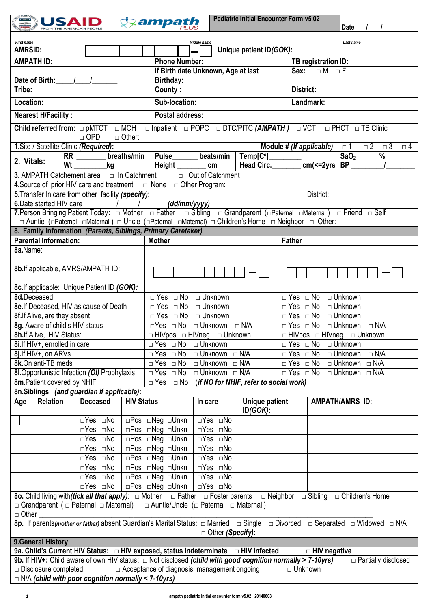| <b>USAID</b><br>$\sum_{i=1}^{n}$<br>wijir                                                                                                                                                                                                                | ampath,                                                              | <b>Pediatric Initial Encounter Form v5.02</b><br>Date                                                                                                      |  |  |  |  |  |  |
|----------------------------------------------------------------------------------------------------------------------------------------------------------------------------------------------------------------------------------------------------------|----------------------------------------------------------------------|------------------------------------------------------------------------------------------------------------------------------------------------------------|--|--|--|--|--|--|
|                                                                                                                                                                                                                                                          |                                                                      |                                                                                                                                                            |  |  |  |  |  |  |
| <b>First name</b><br><b>AMRSID:</b>                                                                                                                                                                                                                      | Middle name<br>Unique patient ID(GOK):                               | Last name                                                                                                                                                  |  |  |  |  |  |  |
| <b>AMPATH ID:</b>                                                                                                                                                                                                                                        | <b>Phone Number:</b>                                                 | TB registration ID:                                                                                                                                        |  |  |  |  |  |  |
|                                                                                                                                                                                                                                                          | If Birth date Unknown, Age at last                                   | $\overline{\Box M}$ $\Box F$<br>Sex:                                                                                                                       |  |  |  |  |  |  |
| Date of Birth:<br>Birthday:                                                                                                                                                                                                                              |                                                                      |                                                                                                                                                            |  |  |  |  |  |  |
| Tribe:                                                                                                                                                                                                                                                   | County:                                                              | District:                                                                                                                                                  |  |  |  |  |  |  |
| Location:                                                                                                                                                                                                                                                | Sub-location:                                                        | Landmark:                                                                                                                                                  |  |  |  |  |  |  |
|                                                                                                                                                                                                                                                          |                                                                      |                                                                                                                                                            |  |  |  |  |  |  |
| <b>Nearest H/Facility:</b><br><b>Postal address:</b>                                                                                                                                                                                                     |                                                                      |                                                                                                                                                            |  |  |  |  |  |  |
| □ Inpatient □ POPC □ DTC/PITC (AMPATH) □ VCT □ PHCT □ TB Clinic<br>Child referred from: $\Box$ pMTCT $\Box$ MCH<br>$\Box$ OPD<br>$\Box$ Other:                                                                                                           |                                                                      |                                                                                                                                                            |  |  |  |  |  |  |
| 1. Site / Satellite Clinic (Required):                                                                                                                                                                                                                   |                                                                      | Module # (If applicable)<br>$\Box$ 2<br>$\Box$ 3<br>$\square$ 1<br>$\Box$ 4                                                                                |  |  |  |  |  |  |
| breaths/min<br>$RR_$<br>2. Vitals:                                                                                                                                                                                                                       | Pulse________ beats/min                                              | $\overline{S}aO_2$<br>$Temp[C^0]$<br>$\frac{0}{0}$                                                                                                         |  |  |  |  |  |  |
| Wt<br>kg                                                                                                                                                                                                                                                 | Height _____<br>cm                                                   | Head Circ. _________ cm(<=2yrs  BP _                                                                                                                       |  |  |  |  |  |  |
| <b>3.</b> AMPATH Catchement area $\Box$ In Catchment $\Box$ Out of Catchment                                                                                                                                                                             |                                                                      |                                                                                                                                                            |  |  |  |  |  |  |
| 4. Source of prior HIV care and treatment : $\Box$ None $\Box$ Other Program:                                                                                                                                                                            |                                                                      |                                                                                                                                                            |  |  |  |  |  |  |
| 5. Transfer In care from other facility (specify):                                                                                                                                                                                                       |                                                                      | District:                                                                                                                                                  |  |  |  |  |  |  |
| 6. Date started HIV care                                                                                                                                                                                                                                 | (dd/mm/yyyy)                                                         |                                                                                                                                                            |  |  |  |  |  |  |
|                                                                                                                                                                                                                                                          |                                                                      |                                                                                                                                                            |  |  |  |  |  |  |
| □ Auntie (□Paternal □Maternal) □ Uncle (□Paternal □Maternal) □ Children's Home □ Neighbor □ Other:                                                                                                                                                       |                                                                      |                                                                                                                                                            |  |  |  |  |  |  |
| 8. Family Information (Parents, Siblings, Primary Caretaker)                                                                                                                                                                                             |                                                                      |                                                                                                                                                            |  |  |  |  |  |  |
| <b>Parental Information:</b>                                                                                                                                                                                                                             | <b>Mother</b>                                                        | <b>Father</b>                                                                                                                                              |  |  |  |  |  |  |
| 8a.Name:                                                                                                                                                                                                                                                 |                                                                      |                                                                                                                                                            |  |  |  |  |  |  |
| 8b. If applicable, AMRS/AMPATH ID:                                                                                                                                                                                                                       |                                                                      |                                                                                                                                                            |  |  |  |  |  |  |
| 8c. If applicable: Unique Patient ID (GOK):                                                                                                                                                                                                              |                                                                      |                                                                                                                                                            |  |  |  |  |  |  |
| 8d.Deceased                                                                                                                                                                                                                                              | □ Yes □ No □ Unknown                                                 | □ Yes □ No □ Unknown                                                                                                                                       |  |  |  |  |  |  |
| 8e. If Deceased, HIV as cause of Death                                                                                                                                                                                                                   | $\Box$ Yes $\Box$ No $\Box$ Unknown                                  | $\Box$ Yes $\Box$ No $\Box$ Unknown                                                                                                                        |  |  |  |  |  |  |
| 8f. If Alive, are they absent                                                                                                                                                                                                                            | □ Unknown<br>$\Box$ Yes $\Box$ No                                    | $\Box$ Yes $\Box$ No $\Box$ Unknown                                                                                                                        |  |  |  |  |  |  |
| 8g. Aware of child's HIV status                                                                                                                                                                                                                          | □Yes □ No □ Unknown □ N/A                                            | $\Box$ Yes $\Box$ No $\Box$ Unknown $\Box$ N/A                                                                                                             |  |  |  |  |  |  |
| 8h. If Alive, HIV Status:                                                                                                                                                                                                                                | $\Box$ HIVpos $\Box$ HIVneg $\Box$ Unknown                           | $\Box$ HIVpos $\Box$ HIVneg $\Box$ Unknown                                                                                                                 |  |  |  |  |  |  |
| 8i. If HIV+, enrolled in care                                                                                                                                                                                                                            | $\Box$ Yes $\Box$ No $\Box$ Unknown                                  | $\Box$ Yes $\Box$ No $\Box$ Unknown                                                                                                                        |  |  |  |  |  |  |
| 8j.If HIV+, on ARVs                                                                                                                                                                                                                                      | $\Box$ Unknown $\Box$ N/A<br>$\Box$ Yes $\Box$ No                    | $\overline{\Box}$ Yes $\Box$ No<br>□ Unknown<br>$\Box$ N/A                                                                                                 |  |  |  |  |  |  |
| 8k.On anti-TB meds                                                                                                                                                                                                                                       | $\Box$ Yes $\Box$ No<br>$\Box$ Unknown $\Box$ N/A                    | $\Box$ Yes $\Box$ No<br>$\Box$ Unknown $\Box$ N/A                                                                                                          |  |  |  |  |  |  |
| 8I. Opportunistic Infection (OI) Prophylaxis                                                                                                                                                                                                             | $\Box$ Unknown $\Box$ N/A<br>$\Box$ Yes $\Box$ No                    | $\Box$ Yes $\Box$ No<br>□ Unknown □ N/A                                                                                                                    |  |  |  |  |  |  |
| 8m. Patient covered by NHIF                                                                                                                                                                                                                              | (if NO for NHIF, refer to social work)<br>$\Box$ Yes<br>$\square$ No |                                                                                                                                                            |  |  |  |  |  |  |
| 8n.Siblings (and guardian if applicable):                                                                                                                                                                                                                |                                                                      |                                                                                                                                                            |  |  |  |  |  |  |
| <b>Relation</b><br><b>Deceased</b><br><b>HIV Status</b><br>Age                                                                                                                                                                                           | In care                                                              | <b>AMPATH/AMRS ID:</b><br>Unique patient                                                                                                                   |  |  |  |  |  |  |
|                                                                                                                                                                                                                                                          | ID(GOK):                                                             |                                                                                                                                                            |  |  |  |  |  |  |
| ⊡Yes ⊡No                                                                                                                                                                                                                                                 | □Yes □No<br>□Pos □Neg □Unkn                                          |                                                                                                                                                            |  |  |  |  |  |  |
| □Yes □No                                                                                                                                                                                                                                                 | □Yes □No<br>□Pos □Neg □Unkn                                          |                                                                                                                                                            |  |  |  |  |  |  |
| □Yes □No                                                                                                                                                                                                                                                 | □Yes □No<br>□Pos □Neg □Unkn                                          |                                                                                                                                                            |  |  |  |  |  |  |
| ⊡Yes ⊡No                                                                                                                                                                                                                                                 | □Pos □Neg □Unkn<br>$\overline{\Box Yes}$ $\Box No$                   |                                                                                                                                                            |  |  |  |  |  |  |
| ⊡Yes ⊡No                                                                                                                                                                                                                                                 | □Yes □No<br>□Pos □Neg □Unkn                                          |                                                                                                                                                            |  |  |  |  |  |  |
| ⊡Yes ⊡No                                                                                                                                                                                                                                                 | $\sqrt{ }$ $\Box$ Yes $\Box$ No<br>□Pos □Neg □Unkn                   |                                                                                                                                                            |  |  |  |  |  |  |
|                                                                                                                                                                                                                                                          | $\Box Yes \Box No$<br>□Pos □Neg □Unkn                                |                                                                                                                                                            |  |  |  |  |  |  |
| $\overline{\Box Yes}$ $\Box No$                                                                                                                                                                                                                          | □Yes □No<br>⊡Pos ⊡Neg ⊡Unkn                                          |                                                                                                                                                            |  |  |  |  |  |  |
| <b>80.</b> Child living with <i>(tick all that apply)</i> : $\Box$ Mother $\Box$ Father $\Box$ Foster parents $\Box$ Neighbor $\Box$ Sibling $\Box$ Children's Home<br>□ Grandparent ( □ Paternal □ Maternal)   □ Auntie/Uncle ( □ Paternal □ Maternal ) |                                                                      |                                                                                                                                                            |  |  |  |  |  |  |
| $\Box$ Other                                                                                                                                                                                                                                             |                                                                      | 8p. If parents(mother or father) absent Guardian's Marital Status: $\Box$ Married $\Box$ Single $\Box$ Divorced $\Box$ Separated $\Box$ Widowed $\Box$ N/A |  |  |  |  |  |  |
|                                                                                                                                                                                                                                                          | $\Box$ Other (Specify):                                              |                                                                                                                                                            |  |  |  |  |  |  |
| 9. General History                                                                                                                                                                                                                                       |                                                                      |                                                                                                                                                            |  |  |  |  |  |  |
| 9a. Child's Current HIV Status: □ HIV exposed, status indeterminate □ HIV infected                                                                                                                                                                       |                                                                      | $\Box$ HIV negative                                                                                                                                        |  |  |  |  |  |  |
| 9b. If HIV+: Child aware of own HIV status: $\Box$ Not disclosed (child with good cognition normally > 7-10yrs)                                                                                                                                          |                                                                      | $\Box$ Partially disclosed                                                                                                                                 |  |  |  |  |  |  |
| $\Box$ Disclosure completed<br>$\Box$ N/A (child with poor cognition normally < 7-10yrs)                                                                                                                                                                 | $\Box$ Acceptance of diagnosis, management ongoing                   | $\Box$ Unknown                                                                                                                                             |  |  |  |  |  |  |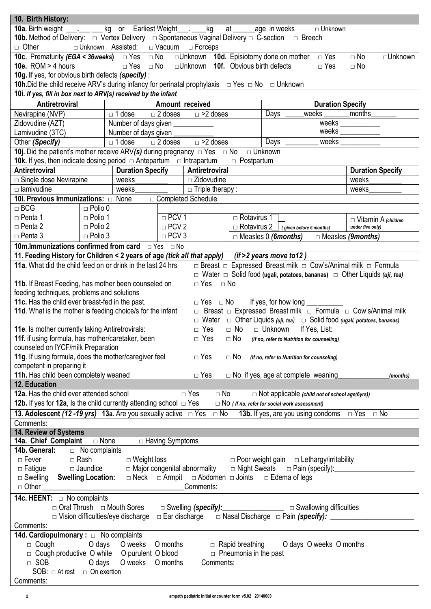| 10. Birth History:                                                                                                                                                                     |                                  |                                          |                   |                                           |                              |                                                                                                                                     |                                                |
|----------------------------------------------------------------------------------------------------------------------------------------------------------------------------------------|----------------------------------|------------------------------------------|-------------------|-------------------------------------------|------------------------------|-------------------------------------------------------------------------------------------------------------------------------------|------------------------------------------------|
| 10a. Birth weight __________ kg or Earliest Weight ______ kg at _____ age in weeks                                                                                                     |                                  |                                          |                   |                                           |                              | □ Unknown                                                                                                                           |                                                |
| 10b. Method of Delivery: $\Box$ Vertex Delivery $\Box$ Spontaneous Vaginal Delivery $\Box$ C-section $\Box$ Breech                                                                     |                                  |                                          |                   |                                           |                              |                                                                                                                                     |                                                |
| $\Box$ Other                                                                                                                                                                           |                                  | □ Unknown Assisted: □ Vacuum □ Forceps   |                   |                                           |                              |                                                                                                                                     |                                                |
| <b>10c.</b> Prematurity ( <i>EGA</i> < 36weeks) $\Box$ Yes $\Box$ No                                                                                                                   |                                  |                                          |                   |                                           |                              | □ Unknown 10d. Episiotomy done on mother □ Yes                                                                                      | $\Box$ No<br>□Unknown                          |
| 10e. $ROM > 4$ hours                                                                                                                                                                   |                                  | □ Yes □ No                               |                   | $\Box$ Unknown 10f. Obvious birth defects |                              | $\Box$ Yes                                                                                                                          | $\Box$ No                                      |
| 10g. If yes, for obvious birth defects (specify) :                                                                                                                                     |                                  |                                          |                   |                                           |                              |                                                                                                                                     |                                                |
| <b>10h.</b> Did the child receive ARV's during infancy for perinatal prophylaxis $\Box$ Yes $\Box$ No $\Box$ Unknown<br>10i. If yes, fill in box next to ARV(s) received by the infant |                                  |                                          |                   |                                           |                              |                                                                                                                                     |                                                |
| <b>Antiretroviral</b>                                                                                                                                                                  |                                  |                                          |                   | Amount received                           |                              | <b>Duration Specify</b>                                                                                                             |                                                |
| Nevirapine (NVP)                                                                                                                                                                       |                                  | $\Box$ 1 dose                            | $\Box$ 2 doses    | $\Box$ >2 doses                           |                              | weeks _________ months<br>Days                                                                                                      |                                                |
| Zidovudine (AZT)                                                                                                                                                                       |                                  | Number of days given ___________         |                   |                                           |                              |                                                                                                                                     | $\overline{\text{weeks}}$                      |
| Lamivudine (3TC)                                                                                                                                                                       |                                  | Number of days given                     |                   |                                           |                              |                                                                                                                                     | weeks $\_$                                     |
| Other (Specify)                                                                                                                                                                        |                                  | $\overline{\Box}$ 1 dose                 |                   | $\Box$ 2 doses $\Box$ >2 doses            |                              | Days $\overline{\phantom{a}}$                                                                                                       | weeks                                          |
| <b>10j.</b> Did the patient's mother receive ARV(s) during pregnancy $\Box$ Yes $\Box$ No $\Box$ Unknown                                                                               |                                  |                                          |                   |                                           |                              |                                                                                                                                     |                                                |
| <b>10k.</b> If yes, then indicate dosing period $\Box$ Antepartum $\Box$ Intrapartum                                                                                                   |                                  |                                          |                   |                                           | $\Box$ Postpartum            |                                                                                                                                     |                                                |
| Antiretroviral                                                                                                                                                                         |                                  | <b>Duration Specify</b>                  |                   | Antiretroviral                            |                              |                                                                                                                                     | <b>Duration Specify</b>                        |
| $\Box$ Single dose Nevirapine                                                                                                                                                          |                                  | weeks                                    |                   | $\Box$ Zidovudine                         |                              |                                                                                                                                     | weeks                                          |
| $\Box$ lamivudine                                                                                                                                                                      |                                  | weeks                                    |                   | $\Box$ Triple therapy :                   |                              |                                                                                                                                     | weeks                                          |
| 10I. Previous Immunizations: $\Box$ None                                                                                                                                               |                                  |                                          |                   | □ Completed Schedule                      |                              |                                                                                                                                     |                                                |
| $\Box$ BCG<br>□ Penta 1                                                                                                                                                                | $\Box$ Polio 0<br>$\Box$ Polio 1 |                                          | $\Box$ PCV 1      |                                           | $\Box$ Rotavirus 1           |                                                                                                                                     |                                                |
| $\Box$ Penta 2                                                                                                                                                                         | $\Box$ Polio 2                   |                                          | $\Box$ PCV 2      |                                           |                              | $\Box$ Rotavirus 2   (given before 6 months)                                                                                        | $\Box$ Vitamin A (children<br>under five only) |
| $\Box$ Penta 3                                                                                                                                                                         | $\Box$ Polio 3                   |                                          | $\Box$ PCV 3      |                                           |                              | $\Box$ Measles 0 (6months) $\Box$ Measles (9months)                                                                                 |                                                |
| <b>10m. Immunizations confirmed from card</b> □ Yes □ No                                                                                                                               |                                  |                                          |                   |                                           |                              |                                                                                                                                     |                                                |
| 11. Feeding History for Children < 2 years of age (tick all that apply) (if > 2 years move to 12)                                                                                      |                                  |                                          |                   |                                           |                              |                                                                                                                                     |                                                |
| 11a. What did the child feed on or drink in the last 24 hrs                                                                                                                            |                                  |                                          |                   |                                           |                              | □ Breast □ Expressed Breast milk □ Cow's/Animal milk □ Formula                                                                      |                                                |
|                                                                                                                                                                                        |                                  |                                          |                   |                                           |                              | $\Box$ Water $\Box$ Solid food (ugali, potatoes, bananas) $\Box$ Other Liquids (uji, tea)                                           |                                                |
| 11b. If Breast Feeding, has mother been counseled on                                                                                                                                   |                                  |                                          |                   | $\Box$ Yes                                | $\Box$ No                    |                                                                                                                                     |                                                |
| feeding techniques, problems and solutions                                                                                                                                             |                                  |                                          |                   |                                           |                              |                                                                                                                                     |                                                |
| 11c. Has the child ever breast-fed in the past.                                                                                                                                        |                                  |                                          |                   | □ Yes □ No                                |                              | If yes, for how long                                                                                                                |                                                |
| 11d. What is the mother is feeding choice/s for the infant                                                                                                                             |                                  |                                          |                   |                                           |                              | □ Breast □ Expressed Breast milk □ Formula □ Cow's/Animal milk                                                                      |                                                |
| 11e. Is mother currently taking Antiretrovirals:                                                                                                                                       |                                  |                                          |                   | $\Box$ Yes                                |                              | $\Box$ Water $\Box$ Other Liquids (uji, tea) $\Box$ Solid food (ugali, potatoes, bananas)<br>$\Box$ No $\Box$ Unknown If Yes, List: |                                                |
| 11f. if using formula, has mother/caretaker, been                                                                                                                                      |                                  |                                          |                   | $\Box$ Yes                                |                              | $\Box$ NO (if no, refer to Nutrition for counseling)                                                                                |                                                |
| counseled on IYCF/milk Preparation                                                                                                                                                     |                                  |                                          |                   |                                           |                              |                                                                                                                                     |                                                |
| 11g. If using formula, does the mother/caregiver feel                                                                                                                                  |                                  |                                          |                   | $\Box$ Yes                                | $\Box$ No                    | (if no, refer to Nutrition for counseling)                                                                                          |                                                |
| competent in preparing it                                                                                                                                                              |                                  |                                          |                   |                                           |                              |                                                                                                                                     |                                                |
| 11h. Has child been completely weaned                                                                                                                                                  |                                  |                                          |                   | $\Box$ Yes                                |                              | $\Box$ No if yes, age at complete weaning                                                                                           | (months)                                       |
| 12. Education                                                                                                                                                                          |                                  |                                          |                   |                                           |                              |                                                                                                                                     |                                                |
| 12a. Has the child ever attended school                                                                                                                                                |                                  |                                          |                   | $\Box$ Yes                                | $\Box$ No                    | $\Box$ Not applicable (child not of school age(6yrs))                                                                               |                                                |
| 12b. If yes for 12a, Is the child currently attending school $\Box$ Yes                                                                                                                |                                  |                                          |                   |                                           |                              | $\Box$ NO (If no, refer for social work assessment)                                                                                 |                                                |
| 13. Adolescent (12 - 19 yrs) 13a. Are you sexually active $\Box$ Yes $\Box$ No                                                                                                         |                                  |                                          |                   |                                           |                              | <b>13b.</b> If yes, are you using condoms $\Box$ Yes $\Box$ No                                                                      |                                                |
| Comments:                                                                                                                                                                              |                                  |                                          |                   |                                           |                              |                                                                                                                                     |                                                |
| 14. Review of Systems                                                                                                                                                                  |                                  |                                          | □ Having Symptoms |                                           |                              |                                                                                                                                     |                                                |
| <b>14b. General:</b> $\Box$ No complaints                                                                                                                                              |                                  |                                          |                   |                                           |                              |                                                                                                                                     |                                                |
| $\Box$ Fever $\Box$ Rash                                                                                                                                                               |                                  | $\square$ Weight loss                    |                   |                                           |                              | $\Box$ Poor weight gain $\Box$ Lethargy/irritability                                                                                |                                                |
| $\Box$ Fatigue $\Box$ Jaundice                                                                                                                                                         |                                  |                                          |                   | □ Major congenital abnormality            |                              |                                                                                                                                     |                                                |
| □ Swelling Swelling Location: □ Neck □ Armpit □ Abdomen □ Joints □ Edema of legs                                                                                                       |                                  |                                          |                   |                                           |                              |                                                                                                                                     |                                                |
|                                                                                                                                                                                        |                                  |                                          |                   | Comments:                                 |                              |                                                                                                                                     |                                                |
| <b>14c. HEENT:</b> $\Box$ No complaints                                                                                                                                                |                                  |                                          |                   |                                           |                              |                                                                                                                                     |                                                |
|                                                                                                                                                                                        |                                  |                                          |                   |                                           |                              | □ Oral Thrush □ Mouth Sores □ Swelling (specify): <u>□ □ Swallowing difficulties</u>                                                |                                                |
|                                                                                                                                                                                        |                                  | $\Box$ Vision difficulties/eye discharge |                   | $\Box$ Ear discharge                      |                              |                                                                                                                                     |                                                |
| Comments:                                                                                                                                                                              |                                  |                                          |                   |                                           |                              |                                                                                                                                     |                                                |
| 14d. Cardiopulmonary : $\Box$ No complaints                                                                                                                                            |                                  |                                          |                   |                                           |                              |                                                                                                                                     |                                                |
| $\Box$ Cough                                                                                                                                                                           |                                  | O days O weeks                           | O months          |                                           | $\Box$ Rapid breathing       | O days O weeks O months                                                                                                             |                                                |
| □ Cough productive O white O purulent O blood<br>$\Box$ SOB                                                                                                                            |                                  | O days O weeks O months                  |                   | Comments:                                 | $\Box$ Pneumonia in the past |                                                                                                                                     |                                                |
| SOB: $\Box$ At rest $\Box$ On exertion                                                                                                                                                 |                                  |                                          |                   |                                           |                              |                                                                                                                                     |                                                |
| Comments:                                                                                                                                                                              |                                  |                                          |                   |                                           |                              |                                                                                                                                     |                                                |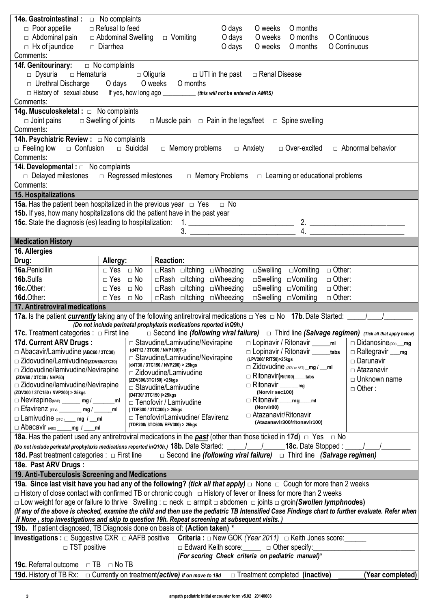| 14e. Gastrointestinal:                                                                                                                                                      | $\Box$ No complaints    |                                                                             |        |                                                      |                                 |                                                                                  |                  |
|-----------------------------------------------------------------------------------------------------------------------------------------------------------------------------|-------------------------|-----------------------------------------------------------------------------|--------|------------------------------------------------------|---------------------------------|----------------------------------------------------------------------------------|------------------|
| $\Box$ Poor appetite                                                                                                                                                        | $\Box$ Refusal to feed  |                                                                             | O days | O weeks                                              | O months                        |                                                                                  |                  |
| $\Box$ Abdominal pain                                                                                                                                                       | □ Abdominal Swelling    | $\Box$ Vomiting                                                             | O days | O weeks                                              | O months                        | O Continuous                                                                     |                  |
| $\Box$ Hx of jaundice                                                                                                                                                       | □ Diarrhea              |                                                                             | O days | O weeks                                              | O months                        | O Continuous                                                                     |                  |
| Comments:                                                                                                                                                                   |                         |                                                                             |        |                                                      |                                 |                                                                                  |                  |
| 14f. Genitourinary: $\Box$ No complaints                                                                                                                                    |                         |                                                                             |        |                                                      |                                 |                                                                                  |                  |
| $\Box$ Dysuria $\Box$ Hematuria $\Box$ Oliguria $\Box$ UTI in the past                                                                                                      |                         |                                                                             |        | □ Renal Disease                                      |                                 |                                                                                  |                  |
| □ Urethral Discharge Odays Oweeks Omonths                                                                                                                                   |                         |                                                                             |        |                                                      |                                 |                                                                                  |                  |
| □ History of sexual abuse If yes, how long ago _________ (this will not be entered in AMRS)                                                                                 |                         |                                                                             |        |                                                      |                                 |                                                                                  |                  |
| Comments:                                                                                                                                                                   |                         |                                                                             |        |                                                      |                                 |                                                                                  |                  |
|                                                                                                                                                                             |                         |                                                                             |        |                                                      |                                 |                                                                                  |                  |
| $\Box$ Joint pains $\Box$ Swelling of joints                                                                                                                                |                         | $\Box$ Muscle pain $\Box$ Pain in the legs/feet                             |        |                                                      | $\Box$ Spine swelling           |                                                                                  |                  |
| Comments:                                                                                                                                                                   |                         |                                                                             |        |                                                      |                                 |                                                                                  |                  |
| 14h. Psychiatric Review : □ No complaints                                                                                                                                   |                         |                                                                             |        |                                                      |                                 |                                                                                  |                  |
| □ Feeling low □ Confusion □ Suicidal                                                                                                                                        |                         | $\Box$ Memory problems                                                      |        | □ Anxiety                                            | □ Over-excited                  | $\Box$ Abnormal behavior                                                         |                  |
| Comments:                                                                                                                                                                   |                         |                                                                             |        |                                                      |                                 |                                                                                  |                  |
| 14i. Developmental : $\Box$ No complaints                                                                                                                                   |                         |                                                                             |        |                                                      |                                 |                                                                                  |                  |
| $\Box$ Delayed milestones $\Box$ Regressed milestones                                                                                                                       |                         |                                                                             |        |                                                      |                                 | $\Box$ Memory Problems $\Box$ Learning or educational problems                   |                  |
| Comments:                                                                                                                                                                   |                         |                                                                             |        |                                                      |                                 |                                                                                  |                  |
| <b>15. Hospitalizations</b>                                                                                                                                                 |                         |                                                                             |        |                                                      |                                 |                                                                                  |                  |
| <b>15a.</b> Has the patient been hospitalized in the previous year $\Box$ Yes $\Box$ No                                                                                     |                         |                                                                             |        |                                                      |                                 |                                                                                  |                  |
| 15b. If yes, how many hospitalizations did the patient have in the past year                                                                                                |                         |                                                                             |        |                                                      |                                 |                                                                                  |                  |
|                                                                                                                                                                             |                         |                                                                             |        |                                                      |                                 |                                                                                  |                  |
|                                                                                                                                                                             |                         |                                                                             |        |                                                      |                                 |                                                                                  |                  |
| <b>Medication History</b>                                                                                                                                                   |                         |                                                                             |        |                                                      |                                 |                                                                                  |                  |
| 16. Allergies                                                                                                                                                               |                         |                                                                             |        |                                                      |                                 |                                                                                  |                  |
| Drug:                                                                                                                                                                       | Allergy:                | <b>Reaction:</b>                                                            |        |                                                      |                                 |                                                                                  |                  |
| 16a. Penicillin                                                                                                                                                             | $\Box$ Yes $\Box$ No    | □Rash □ltching □Wheezing                                                    |        |                                                      | $\Box$ Swelling $\Box$ Vomiting | $\Box$ Other:                                                                    |                  |
| 16b.Sulfa                                                                                                                                                                   | $\Box$ Yes $\Box$ No    | $\Box$ Rash $\Box$ Itching $\Box$ Wheezing                                  |        |                                                      | $\Box$ Swelling $\Box$ Vomiting | $\Box$ Other:                                                                    |                  |
| 16c.Other:                                                                                                                                                                  | $\Box$ Yes<br>$\Box$ No | $\Box$ Rash $\Box$ Itching $\Box$ Wheezing                                  |        |                                                      | $\Box$ Swelling $\Box$ Vomiting | $\Box$ Other:                                                                    |                  |
| 16d.Other:                                                                                                                                                                  | □ Yes □ No              | □Rash □ltching □Wheezing                                                    |        |                                                      | $\Box$ Swelling $\Box$ Vomiting | $\Box$ Other:                                                                    |                  |
| 17. Antiretroviral medications                                                                                                                                              |                         |                                                                             |        |                                                      |                                 |                                                                                  |                  |
|                                                                                                                                                                             |                         |                                                                             |        |                                                      |                                 |                                                                                  |                  |
|                                                                                                                                                                             |                         | (Do not include perinatal prophylaxis medications reported inQ9h.)          |        |                                                      |                                 |                                                                                  |                  |
| 17c. Treatment categories : $\Box$ First line $\Box$ Second line (following viral failure) $\Box$ Third line (Salvage regimen) (Tick all that apply below)                  |                         |                                                                             |        |                                                      |                                 |                                                                                  |                  |
| 17d. Current ARV Drugs:                                                                                                                                                     |                         | $\Box$ Stavudine/Lamivudine/Nevirapine                                      |        | □ Lopinavir / Ritonavir ____                         |                                 | $\Box$ Didanosine <sub>(DDI)</sub> mg<br>ml                                      |                  |
| $\Box$ Abacavir/Lamivudine (ABC60 / 3TC30)                                                                                                                                  |                         | (d4T12 / 3TC60 / NVP100)T-jr                                                |        | $\Box$ Lopinavir / Ritonavir tabs                    |                                 | $\Box$ Raltegravir $\_\_\$                                                       |                  |
| $\Box$ Zidovudine/Lamivudine(zDV60/3TC30)                                                                                                                                   |                         | $\Box$ Stavudine/Lamivudine/Nevirapine<br>(d4T30 / 3TC150 / NVP200) > 25kgs |        | (LPV200/ RIT50)>25kgs                                |                                 | $\Box$ Darunavir                                                                 |                  |
| $\Box$ Zidovudine/lamivudine/Nevirapine                                                                                                                                     |                         | $\Box$ Zidovudine/Lamivudine                                                |        | $\Box$ Zidovudine (ZDV or AZT) $\Box$ mg / $\Box$ ml |                                 | □ Atazanavir                                                                     |                  |
| (ZDV60 / 3TC30 / NVP50)                                                                                                                                                     |                         | (ZDV300/3TC150) >25kgs                                                      |        | □ Ritonavir(Rit100) ____tabs                         |                                 | □ Unknown name                                                                   |                  |
| □ Zidovudine/lamivudine/Nevirapine                                                                                                                                          |                         | $\Box$ Stavudine/Lamivudine                                                 |        | $\Box$ Ritonavir mg                                  |                                 | $\Box$ Other:                                                                    |                  |
| (ZDV300 / 3TC150 / NVP200) > 25kgs<br>$\Box$ Nevirapine <sub>(NVP)</sub> ______ mg / _______ml                                                                              |                         | (D4T30/3TC150) > 25kgs                                                      |        | (Norvir sec100)<br>$\Box$ Ritonavir                  | $mg$ ml                         |                                                                                  |                  |
| $\Box$ Efavirenz (EFV) ________ mg / ______ml                                                                                                                               |                         | $\Box$ Tenofovir / Lamivudine<br>(TDF300 / 3TC300) > 25kgs                  |        | (Norvir80)                                           |                                 |                                                                                  |                  |
| $\Box$ Lamivudine $\langle 3TC \rangle$ mg / __ml                                                                                                                           |                         | □ Tenofovir/Lamivudine/ Efavirenz                                           |        | □ Atazanavir/Ritonavir                               |                                 |                                                                                  |                  |
| $\Box$ Abacavir (ABC) mg / ml                                                                                                                                               |                         | (TDF200/3TC600/EFV300) > 25kgs                                              |        |                                                      | (Atazanavir300/ritonavir100)    |                                                                                  |                  |
| 18a. Has the patient used any antiretroviral medications in the <b>past</b> (other than those ticked in 17d) $\Box$ Yes $\Box$ No                                           |                         |                                                                             |        |                                                      |                                 |                                                                                  |                  |
| (Do not include perinatal prophylaxis medications reported inQ10h.) 18b. Date Started: _____/____/_____18c. Date Stopped :                                                  |                         |                                                                             |        |                                                      |                                 |                                                                                  |                  |
| <b>18d. Past treatment categories : □ First line</b>                                                                                                                        |                         |                                                                             |        |                                                      |                                 | $\Box$ Second line (following viral failure) $\Box$ Third line (Salvage regimen) |                  |
|                                                                                                                                                                             |                         |                                                                             |        |                                                      |                                 |                                                                                  |                  |
| 18e. Past ARV Drugs :                                                                                                                                                       |                         |                                                                             |        |                                                      |                                 |                                                                                  |                  |
| 19. Anti-Tuberculosis Screening and Medications                                                                                                                             |                         |                                                                             |        |                                                      |                                 |                                                                                  |                  |
| 19a. Since last visit have you had any of the following? (tick all that apply) $\Box$ None $\Box$ Cough for more than 2 weeks                                               |                         |                                                                             |        |                                                      |                                 |                                                                                  |                  |
| □ History of close contact with confirmed TB or chronic cough □ History of fever or illness for more than 2 weeks                                                           |                         |                                                                             |        |                                                      |                                 |                                                                                  |                  |
| $\Box$ Low weight for age or failure to thrive Swelling : $\Box$ neck $\Box$ armpit $\Box$ abdomen $\Box$ joints $\Box$ groin(Swollen lymphnodes)                           |                         |                                                                             |        |                                                      |                                 |                                                                                  |                  |
| (If any of the above is checked, examine the child and then use the pediatric TB Intensified Case Findings chart to further evaluate. Refer when                            |                         |                                                                             |        |                                                      |                                 |                                                                                  |                  |
| If None, stop investigations and skip to question 19h. Repeat screening at subsequent visits.)                                                                              |                         |                                                                             |        |                                                      |                                 |                                                                                  |                  |
| 19b. If patient diagnosed, TB Diagnosis done on basis of: (Action taken) *                                                                                                  |                         |                                                                             |        |                                                      |                                 |                                                                                  |                  |
| Investigations : $\Box$ Suggestive CXR $\Box$ AAFB positive   Criteria : $\Box$ New GOK (Year 2011) $\Box$ Keith Jones score:                                               |                         |                                                                             |        |                                                      |                                 |                                                                                  |                  |
|                                                                                                                                                                             |                         |                                                                             |        |                                                      |                                 |                                                                                  |                  |
| $\Box$ TST positive                                                                                                                                                         |                         |                                                                             |        | □ Edward Keith score: □ □ Other specify:             |                                 |                                                                                  |                  |
|                                                                                                                                                                             |                         |                                                                             |        | (For scoring Check criteria on pediatric manual)*    |                                 |                                                                                  |                  |
| <b>19c.</b> Referral outcome $\Box$ TB $\Box$ No TB<br>19d. History of TB Rx: $\Box$ Currently on treatment(active) if on move to 19d $\Box$ Treatment completed (inactive) |                         |                                                                             |        |                                                      |                                 |                                                                                  | (Year completed) |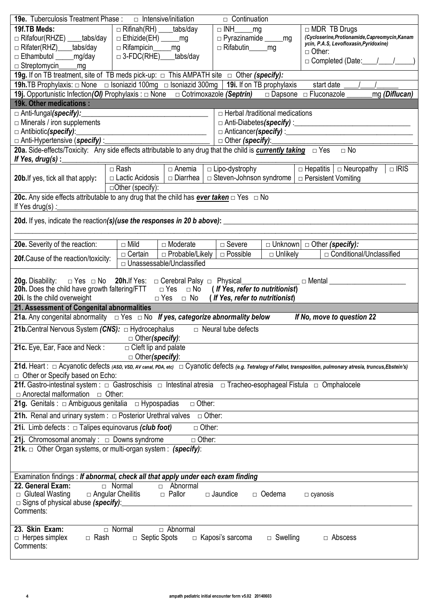| <b>19e.</b> Tuberculosis Treatment Phase : $\Box$ Intensive/initiation                                    |                                                                                                                                     | $\Box$ Continuation                                       |                                                                                                                                                                     |  |  |  |  |  |
|-----------------------------------------------------------------------------------------------------------|-------------------------------------------------------------------------------------------------------------------------------------|-----------------------------------------------------------|---------------------------------------------------------------------------------------------------------------------------------------------------------------------|--|--|--|--|--|
| 19f.TB Meds:                                                                                              | $\Box$ Rifinah(RH) _____tabs/day                                                                                                    | $\Box$ INH $\Box$ mg                                      | $\Box$ MDR TB Drugs                                                                                                                                                 |  |  |  |  |  |
| □ Rifafour(RHZE) ____tabs/day                                                                             | $\Box$ Ethizide(EH) _______mg                                                                                                       |                                                           | (Cycloserine, Protionamide, Capreomycin, Kanam<br>ycin, P.A.S, Levofloxasin, Pyridoxine)                                                                            |  |  |  |  |  |
| □ Rifater(RHZ)____tabs/day                                                                                | □ Rifampicin_____mg                                                                                                                 | □ Rifabutin ______ mg                                     | $\Box$ Other:                                                                                                                                                       |  |  |  |  |  |
| □ Ethambutol ______mg/day                                                                                 | $\Box$ 3-FDC(RHE) tabs/day                                                                                                          |                                                           | $\Box$ Completed (Date: $\angle$                                                                                                                                    |  |  |  |  |  |
| □ Streptomycin_<br>mg                                                                                     |                                                                                                                                     |                                                           |                                                                                                                                                                     |  |  |  |  |  |
|                                                                                                           | 19g. If on TB treatment, site of TB meds pick-up: $\Box$ This AMPATH site $\Box$ Other (specify):                                   |                                                           |                                                                                                                                                                     |  |  |  |  |  |
|                                                                                                           | <b>19h.</b> TB Prophylaxis: $\Box$ None $\Box$ Isoniazid 100mg $\Box$ Isoniazid 300mg   <b>19i.</b> If on TB prophylaxis            |                                                           | start date                                                                                                                                                          |  |  |  |  |  |
|                                                                                                           | 19j. Opportunistic Infection(OI) Prophylaxis : $\Box$ None $\Box$ Cotrimoxazole (Septrin) $\Box$ Dapsone $\Box$ Fluconazole _       |                                                           | $\overline{\mathsf{m}}$ g (Diflucan)                                                                                                                                |  |  |  |  |  |
| 19k. Other medications:                                                                                   |                                                                                                                                     |                                                           |                                                                                                                                                                     |  |  |  |  |  |
| □ Anti-fungal(specify):                                                                                   |                                                                                                                                     | $\Box$ Herbal /traditional medications                    |                                                                                                                                                                     |  |  |  |  |  |
| $\Box$ Minerals / iron supplements                                                                        |                                                                                                                                     |                                                           |                                                                                                                                                                     |  |  |  |  |  |
| □ Antibiotic(specify):                                                                                    | <u> 1989 - Johann Barnett, fransk politiker (d. 1989)</u>                                                                           |                                                           |                                                                                                                                                                     |  |  |  |  |  |
|                                                                                                           | <u>n</u> Anti-Hypertensive (specify) : <b>https://www.franchet.com/internal and internal anti-</b>                                  | $\Box$ Other (specify):                                   |                                                                                                                                                                     |  |  |  |  |  |
|                                                                                                           | 20a. Side-effects/Toxicity: Any side effects attributable to any drug that the child is <b>currently taking</b> □ Yes               |                                                           | $\Box$ No                                                                                                                                                           |  |  |  |  |  |
| If Yes, drug(s) : $\frac{1}{2}$                                                                           |                                                                                                                                     |                                                           |                                                                                                                                                                     |  |  |  |  |  |
|                                                                                                           | $\Box$ Rash<br>$\Box$ Anemia                                                                                                        | $\Box$ Lipo-dystrophy                                     | $\Box$ Hepatitis $\Box$ Neuropathy<br>$\Box$ IRIS                                                                                                                   |  |  |  |  |  |
| <b>20b.</b> If yes, tick all that apply:                                                                  | □ Lactic Acidosis  <br>□ Diarrhea                                                                                                   | $\Box$ Steven-Johnson syndrome $\Box$ Persistent Vomiting |                                                                                                                                                                     |  |  |  |  |  |
|                                                                                                           | $\Box$ Other (specify):                                                                                                             |                                                           |                                                                                                                                                                     |  |  |  |  |  |
|                                                                                                           | 20c. Any side effects attributable to any drug that the child has <b>ever taken</b> $\Box$ Yes $\Box$ No                            |                                                           |                                                                                                                                                                     |  |  |  |  |  |
| If Yes drug(s) :                                                                                          |                                                                                                                                     |                                                           |                                                                                                                                                                     |  |  |  |  |  |
|                                                                                                           |                                                                                                                                     |                                                           |                                                                                                                                                                     |  |  |  |  |  |
|                                                                                                           |                                                                                                                                     |                                                           |                                                                                                                                                                     |  |  |  |  |  |
| 20e. Severity of the reaction:                                                                            | $\Box$ Mild<br>□ Moderate                                                                                                           | $\Box$ Severe                                             | $\Box$ Unknown $\Box$ Other (specify):                                                                                                                              |  |  |  |  |  |
|                                                                                                           | $\Box$ Certain<br>$\Box$ Probable/Likely                                                                                            | $\Box$ Possible<br>$\Box$ Unlikely                        | □ Conditional/Unclassified                                                                                                                                          |  |  |  |  |  |
| 20f.Cause of the reaction/toxicity:                                                                       | □ Unassessable/Unclassified                                                                                                         |                                                           |                                                                                                                                                                     |  |  |  |  |  |
|                                                                                                           |                                                                                                                                     |                                                           |                                                                                                                                                                     |  |  |  |  |  |
| 20g. Disability:                                                                                          |                                                                                                                                     |                                                           | $\Box$ Mental $\Box$                                                                                                                                                |  |  |  |  |  |
| <b>20h.</b> Does the child have growth faltering/FTT $\Box$ Yes $\Box$ No (If Yes, refer to nutritionist) |                                                                                                                                     |                                                           |                                                                                                                                                                     |  |  |  |  |  |
|                                                                                                           |                                                                                                                                     |                                                           |                                                                                                                                                                     |  |  |  |  |  |
| 20i. Is the child overweight                                                                              | $\frac{1}{2}$                                                                                                                       | $\Box$ Yes $\Box$ No (If Yes, refer to nutritionist)      |                                                                                                                                                                     |  |  |  |  |  |
| 21. Assessment of Congenital abnormalities                                                                |                                                                                                                                     |                                                           |                                                                                                                                                                     |  |  |  |  |  |
|                                                                                                           | 21a. Any congenital abnormality $\Box$ Yes $\Box$ No If yes, categorize abnormality below                                           |                                                           | If No, move to question 22                                                                                                                                          |  |  |  |  |  |
| <b>21b.</b> Central Nervous System $(CNS): \Box$ Hydrocephalus                                            |                                                                                                                                     | $\Box$ Neural tube defects                                |                                                                                                                                                                     |  |  |  |  |  |
|                                                                                                           | Deter(specify):                                                                                                                     |                                                           |                                                                                                                                                                     |  |  |  |  |  |
| 21c. Eye, Ear, Face and Neck:                                                                             | $\Box$ Cleft lip and palate                                                                                                         |                                                           |                                                                                                                                                                     |  |  |  |  |  |
|                                                                                                           | $\Box$ Other (specify):                                                                                                             |                                                           |                                                                                                                                                                     |  |  |  |  |  |
|                                                                                                           |                                                                                                                                     |                                                           | 21d. Heart : □ Acyanotic defects (ASD, VSD, AV canal, PDA, etc) □ Cyanotic defects (e.g. Tetralogy of Fallot, transposition, pulmonary atresia, truncus, Ebstein's) |  |  |  |  |  |
| $\Box$ Other or Specify based on Echo:                                                                    |                                                                                                                                     |                                                           |                                                                                                                                                                     |  |  |  |  |  |
|                                                                                                           | 21f. Gastro-intestinal system : $\Box$ Gastroschisis $\Box$ Intestinal atresia $\Box$ Tracheo-esophageal Fistula $\Box$ Omphalocele |                                                           |                                                                                                                                                                     |  |  |  |  |  |
| $\Box$ Anorectal malformation $\Box$ Other:                                                               |                                                                                                                                     |                                                           |                                                                                                                                                                     |  |  |  |  |  |
| 21g. Genitals : $\Box$ Ambiguous genitalia $\Box$ Hypospadias                                             | $\Box$ Other:                                                                                                                       |                                                           |                                                                                                                                                                     |  |  |  |  |  |
| <b>21h.</b> Renal and urinary system: $\Box$ Posterior Urethral valves                                    |                                                                                                                                     | $\Box$ Other:                                             |                                                                                                                                                                     |  |  |  |  |  |
|                                                                                                           | $\overline{\Box}$ Other:                                                                                                            |                                                           |                                                                                                                                                                     |  |  |  |  |  |
| 21i. Limb defects : $\Box$ Talipes equinovarus (club foot)                                                |                                                                                                                                     |                                                           |                                                                                                                                                                     |  |  |  |  |  |
| <b>21j.</b> Chromosomal anomaly : $\Box$ Downs syndrome                                                   | $\overline{\Box}$ Other:                                                                                                            |                                                           |                                                                                                                                                                     |  |  |  |  |  |
|                                                                                                           | 21k. $\Box$ Other Organ systems, or multi-organ system : (specify):                                                                 |                                                           |                                                                                                                                                                     |  |  |  |  |  |
|                                                                                                           |                                                                                                                                     |                                                           |                                                                                                                                                                     |  |  |  |  |  |
|                                                                                                           |                                                                                                                                     |                                                           |                                                                                                                                                                     |  |  |  |  |  |
|                                                                                                           | Examination findings : If abnormal, check all that apply under each exam finding<br>$\Box$ Normal                                   |                                                           |                                                                                                                                                                     |  |  |  |  |  |
| 22. General Exam:                                                                                         | □ Abnormal<br>□ Pallor                                                                                                              | $\Box$ Jaundice<br>$\Box$ Oedema                          |                                                                                                                                                                     |  |  |  |  |  |
| $\Box$ Gluteal Wasting<br>□ Signs of physical abuse (specify):                                            | $\Box$ Angular Cheilitis                                                                                                            |                                                           | $\Box$ cyanosis                                                                                                                                                     |  |  |  |  |  |
| Comments:                                                                                                 |                                                                                                                                     |                                                           |                                                                                                                                                                     |  |  |  |  |  |
|                                                                                                           |                                                                                                                                     |                                                           |                                                                                                                                                                     |  |  |  |  |  |
| 23. Skin Exam:                                                                                            | $\Box$ Normal<br>$\Box$ Abnormal                                                                                                    |                                                           |                                                                                                                                                                     |  |  |  |  |  |
| $\Box$ Herpes simplex<br>□ Rash                                                                           | $\Box$ Septic Spots                                                                                                                 | $\Box$ Kaposi's sarcoma<br>$\Box$ Swelling                | $\Box$ Abscess                                                                                                                                                      |  |  |  |  |  |
| Comments:                                                                                                 |                                                                                                                                     |                                                           |                                                                                                                                                                     |  |  |  |  |  |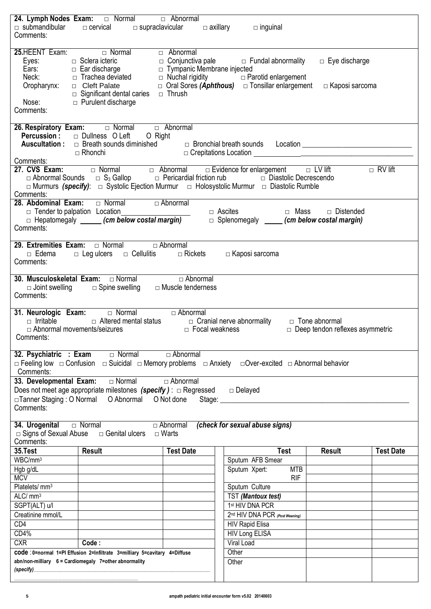| Comments:                                                         | 24. Lymph Nodes Exam: <del>In Normal</del> <b>Examend Property</b> D Abnormal<br>$\Box$ submandibular $\Box$ cervical $\Box$ supraclavicular $\Box$ axillary $\Box$ inguinal |                                 |                                                                                                                                                                                                                                                     |                                               |                  |
|-------------------------------------------------------------------|------------------------------------------------------------------------------------------------------------------------------------------------------------------------------|---------------------------------|-----------------------------------------------------------------------------------------------------------------------------------------------------------------------------------------------------------------------------------------------------|-----------------------------------------------|------------------|
| Nose:<br>Comments:                                                | $\Box$ Significant dental caries $\Box$ Thrush<br>$\Box$ Purulent discharge                                                                                                  |                                 | Eyes: $\Box$ Sclera icteric $\Box$ Sclera icteric $\Box$ Sclera icteric $\Box$ Ear discharge $\Box$ Tympanic Membrane injected<br>Neck: $\Box$ Trachea deviated $\Box$ Nuchal rigidity $\Box$ Parotid enlargement<br>Oropharynx: $\Box$ Cleft Palat | $\Box$ Eye discharge<br>$\Box$ Kaposi sarcoma |                  |
|                                                                   | <b>26. Respiratory Exam:</b> $\Box$ Normal $\Box$ Abnormal <b>Percussion :</b> $\Box$ Dullness O Left O Right                                                                |                                 |                                                                                                                                                                                                                                                     |                                               |                  |
| Comments:<br>Comments:                                            |                                                                                                                                                                              |                                 | □ Abnormal Sounds □ S <sub>3</sub> Gallop □ Pericardial friction rub □ Diastolic Decrescendo<br>□ Murmurs (specify): □ Systolic Ejection Murmur □ Holosystolic Murmur □ Diastolic Rumble                                                            |                                               |                  |
| Comments:                                                         | 28. Abdominal Exam: $\Box$ Normal $\Box$ Abnormal                                                                                                                            |                                 | □ Tender to palpation Location<br>□ Hepatomegaly (cm below costal margin)    □ Ascites      □ Mass   □ Distended                                                                                                                                    |                                               |                  |
| $\Box$ Edema<br>Comments:                                         | <b>29. Extremities Exam:</b> $\Box$ Normal $\Box$ Abnormal<br>$\Box$ Leg ulcers $\Box$ Cellulitis $\Box$ Rickets                                                             |                                 | □ Kaposi sarcoma                                                                                                                                                                                                                                    |                                               |                  |
| Comments:                                                         | <b>30. Musculoskeletal Exam:</b> $\Box$ Normal $\Box$ Abnormal $\Box$ Abnormal $\Box$ Joint swelling $\Box$ Spine swelling $\Box$ Muscle tenderness                          |                                 |                                                                                                                                                                                                                                                     |                                               |                  |
| $\Box$ Abnormal movements/seizures<br>Comments:                   |                                                                                                                                                                              | D Focal weakness                | $\Box$ Irritable $\Box$ Altered mental status $\Box$ Cranial nerve abnormality $\Box$ Tone abnormal                                                                                                                                                 | $\Box$ Deep tendon reflexes asymmetric        |                  |
| 32. Psychiatric : Exam<br>Comments:                               | $\Box$ Normal                                                                                                                                                                | $\Box$ Abnormal                 | □ Feeling low □ Confusion □ Suicidal □ Memory problems □ Anxiety □ Over-excited □ Abnormal behavior                                                                                                                                                 |                                               |                  |
| 33. Developmental Exam:<br>□Tanner Staging: O Normal<br>Comments: | □ Normal<br>Does not meet age appropriate milestones $(specify)$ : $\Box$ Regressed<br>O Abnormal O Not done                                                                 | $\Box$ Abnormal                 | $\Box$ Delayed<br>Stage: _____________                                                                                                                                                                                                              |                                               |                  |
| 34. Urogenital<br>□ Signs of Sexual Abuse<br>Comments:            | □ Normal<br>□ Genital ulcers                                                                                                                                                 | $\Box$ Abnormal<br>$\Box$ Warts | (check for sexual abuse signs)                                                                                                                                                                                                                      |                                               |                  |
| 35.Test                                                           | <b>Result</b>                                                                                                                                                                | <b>Test Date</b>                | <b>Test</b>                                                                                                                                                                                                                                         | <b>Result</b>                                 | <b>Test Date</b> |
| WBC/mm <sup>3</sup>                                               |                                                                                                                                                                              |                                 | Sputum AFB Smear                                                                                                                                                                                                                                    |                                               |                  |
| Hgb g/dL<br><b>MCV</b>                                            |                                                                                                                                                                              |                                 | Sputum Xpert:<br><b>MTB</b><br><b>RIF</b>                                                                                                                                                                                                           |                                               |                  |
| Platelets/mm <sup>3</sup>                                         |                                                                                                                                                                              |                                 | Sputum Culture                                                                                                                                                                                                                                      |                                               |                  |
| ALC/ mm <sup>3</sup>                                              |                                                                                                                                                                              |                                 | TST (Mantoux test)                                                                                                                                                                                                                                  |                                               |                  |
| SGPT(ALT) u/l                                                     |                                                                                                                                                                              |                                 | 1st HIV DNA PCR                                                                                                                                                                                                                                     |                                               |                  |
| Creatinine mmol/L                                                 |                                                                                                                                                                              |                                 | 2nd HIV DNA PCR (Post Weaning)                                                                                                                                                                                                                      |                                               |                  |
| CD4                                                               |                                                                                                                                                                              |                                 | <b>HIV Rapid Elisa</b>                                                                                                                                                                                                                              |                                               |                  |
| CD4%                                                              |                                                                                                                                                                              |                                 | <b>HIV Long ELISA</b>                                                                                                                                                                                                                               |                                               |                  |
| <b>CXR</b>                                                        | Code:                                                                                                                                                                        |                                 | Viral Load                                                                                                                                                                                                                                          |                                               |                  |
|                                                                   | code : 0=normal 1=PI Effusion 2=Infiltrate 3=milliary 5=cavitary 4=Diffuse                                                                                                   |                                 | Other                                                                                                                                                                                                                                               |                                               |                  |
| (specify)                                                         | abn/non-milliary 6 = Cardiomegaly 7=other abnormality                                                                                                                        |                                 | Other                                                                                                                                                                                                                                               |                                               |                  |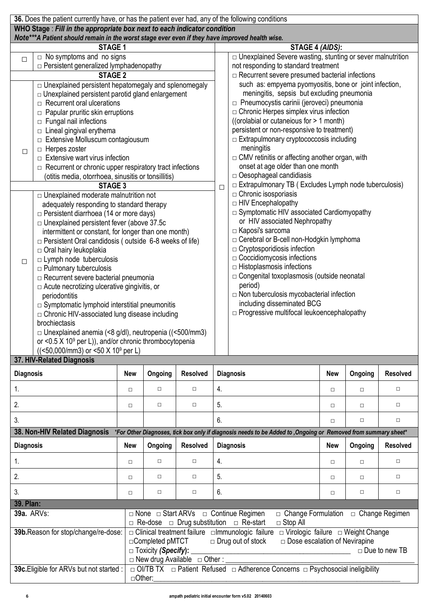|                                                                                       | 36. Does the patient currently have, or has the patient ever had, any of the following conditions                                                                         |            |                            |                                |        |                                                                                                                 |            |         |                      |  |  |  |  |
|---------------------------------------------------------------------------------------|---------------------------------------------------------------------------------------------------------------------------------------------------------------------------|------------|----------------------------|--------------------------------|--------|-----------------------------------------------------------------------------------------------------------------|------------|---------|----------------------|--|--|--|--|
|                                                                                       | WHO Stage: Fill in the appropriate box next to each indicator condition<br>Note***A Patient should remain in the worst stage ever even if they have improved health wise. |            |                            |                                |        |                                                                                                                 |            |         |                      |  |  |  |  |
|                                                                                       | <b>STAGE 1</b>                                                                                                                                                            |            |                            |                                |        | STAGE 4 (AIDS):                                                                                                 |            |         |                      |  |  |  |  |
| $\Box$                                                                                | $\Box$ No symptoms and no signs                                                                                                                                           |            |                            |                                |        | $\Box$ Unexplained Severe wasting, stunting or sever malnutrition                                               |            |         |                      |  |  |  |  |
| $\Box$ Persistent generalized lymphadenopathy<br>not responding to standard treatment |                                                                                                                                                                           |            |                            |                                |        |                                                                                                                 |            |         |                      |  |  |  |  |
|                                                                                       | <b>STAGE 2</b>                                                                                                                                                            |            |                            |                                |        | $\Box$ Recurrent severe presumed bacterial infections<br>such as: empyema pyomyositis, bone or joint infection, |            |         |                      |  |  |  |  |
|                                                                                       | O Unexplained persistent hepatomegaly and splenomegaly<br>$\Box$ Unexplained persistent parotid gland enlargement                                                         |            |                            |                                |        | meningitis, sepsis but excluding pneumonia                                                                      |            |         |                      |  |  |  |  |
|                                                                                       | $\Box$ Recurrent oral ulcerations                                                                                                                                         |            |                            |                                |        | □ Pneumocystis carinii (jeroveci) pneumonia                                                                     |            |         |                      |  |  |  |  |
|                                                                                       | $\Box$ Papular pruritic skin erruptions                                                                                                                                   |            |                            |                                |        | $\Box$ Chronic Herpes simplex virus infection                                                                   |            |         |                      |  |  |  |  |
|                                                                                       | $\Box$ Fungal nail infections                                                                                                                                             |            |                            |                                |        | ((orolabial or cutaneious for > 1 month)                                                                        |            |         |                      |  |  |  |  |
|                                                                                       | $\Box$ Lineal gingival erythema                                                                                                                                           |            |                            |                                |        | persistent or non-responsive to treatment)                                                                      |            |         |                      |  |  |  |  |
|                                                                                       | $\Box$ Extensive Molluscum contagiousum                                                                                                                                   |            |                            |                                |        | $\Box$ Extrapulmonary cryptococcosis including                                                                  |            |         |                      |  |  |  |  |
| □                                                                                     | $\Box$ Herpes zoster                                                                                                                                                      |            |                            |                                |        | meningitis                                                                                                      |            |         |                      |  |  |  |  |
|                                                                                       | $\Box$ Extensive wart virus infection<br>$\Box$ Recurrent or chronic upper respiratory tract infections                                                                   |            |                            |                                |        | □ CMV retinitis or affecting another organ, with<br>onset at age older than one month                           |            |         |                      |  |  |  |  |
|                                                                                       | (otitis media, otorrhoea, sinusitis or tonsillitis)                                                                                                                       |            |                            |                                |        | $\Box$ Oesophageal candidiasis                                                                                  |            |         |                      |  |  |  |  |
|                                                                                       | STAGE 3                                                                                                                                                                   |            |                            |                                | $\Box$ | $\Box$ Extrapulmonary TB (Excludes Lymph node tuberculosis)                                                     |            |         |                      |  |  |  |  |
|                                                                                       | $\Box$ Unexplained moderate malnutrition not                                                                                                                              |            |                            |                                |        | $\Box$ Chronic isosporiasis                                                                                     |            |         |                      |  |  |  |  |
|                                                                                       | adequately responding to standard therapy                                                                                                                                 |            |                            |                                |        | $\Box$ HIV Encephalopathy                                                                                       |            |         |                      |  |  |  |  |
|                                                                                       | $\Box$ Persistent diarrhoea (14 or more days)                                                                                                                             |            |                            |                                |        | $\Box$ Symptomatic HIV associated Cardiomyopathy                                                                |            |         |                      |  |  |  |  |
|                                                                                       | $\Box$ Unexplained persistent fever (above 37.5c                                                                                                                          |            |                            |                                |        | or HIV associated Nephropathy                                                                                   |            |         |                      |  |  |  |  |
|                                                                                       | intermittent or constant, for longer than one month)                                                                                                                      |            |                            |                                |        | □ Kaposi's sarcoma<br>□ Cerebral or B-cell non-Hodgkin lymphoma                                                 |            |         |                      |  |  |  |  |
|                                                                                       | $\Box$ Persistent Oral candidosis (outside 6-8 weeks of life)<br>$\Box$ Oral hairy leukoplakia                                                                            |            |                            |                                |        | $\Box$ Cryptosporidiosis infection                                                                              |            |         |                      |  |  |  |  |
|                                                                                       | $\Box$ Lymph node tuberculosis                                                                                                                                            |            |                            |                                |        | $\Box$ Coccidiomycosis infections                                                                               |            |         |                      |  |  |  |  |
| $\Box$                                                                                | $\Box$ Pulmonary tuberculosis                                                                                                                                             |            |                            |                                |        | $\Box$ Histoplasmosis infections                                                                                |            |         |                      |  |  |  |  |
|                                                                                       | $\Box$ Recurrent severe bacterial pneumonia                                                                                                                               |            |                            |                                |        | $\Box$ Congenital toxoplasmosis (outside neonatal                                                               |            |         |                      |  |  |  |  |
|                                                                                       | $\Box$ Acute necrotizing ulcerative gingivitis, or                                                                                                                        |            |                            |                                |        | period)                                                                                                         |            |         |                      |  |  |  |  |
|                                                                                       | periodontitis                                                                                                                                                             |            |                            |                                |        | $\Box$ Non tuberculosis mycobacterial infection                                                                 |            |         |                      |  |  |  |  |
|                                                                                       | $\Box$ Symptomatic lymphoid interstitial pneumonitis                                                                                                                      |            |                            |                                |        | including disseminated BCG                                                                                      |            |         |                      |  |  |  |  |
|                                                                                       | □ Chronic HIV-associated lung disease including                                                                                                                           |            |                            |                                |        | $\Box$ Progressive multifocal leukoencephalopathy                                                               |            |         |                      |  |  |  |  |
|                                                                                       | brochiectasis<br>$\Box$ Unexplained anemia (<8 g/dl), neutropenia ((<500/mm3)                                                                                             |            |                            |                                |        |                                                                                                                 |            |         |                      |  |  |  |  |
|                                                                                       | or <0.5 $\times$ 10 <sup>9</sup> per L)), and/or chronic thrombocytopenia                                                                                                 |            |                            |                                |        |                                                                                                                 |            |         |                      |  |  |  |  |
|                                                                                       | $((< 50,000/mm3)$ or $< 50 X 109$ per L)                                                                                                                                  |            |                            |                                |        |                                                                                                                 |            |         |                      |  |  |  |  |
|                                                                                       | 37. HIV-Related Diagnosis                                                                                                                                                 |            |                            |                                |        |                                                                                                                 |            |         |                      |  |  |  |  |
| <b>Diagnosis</b>                                                                      |                                                                                                                                                                           | <b>New</b> | Ongoing                    | <b>Resolved</b>                |        | <b>Diagnosis</b>                                                                                                | <b>New</b> | Ongoing | <b>Resolved</b>      |  |  |  |  |
| 1.                                                                                    |                                                                                                                                                                           | $\Box$     | $\Box$                     | $\Box$                         | 4.     |                                                                                                                 | $\Box$     | $\Box$  | $\Box$               |  |  |  |  |
| 2.                                                                                    |                                                                                                                                                                           | $\Box$     | $\Box$                     | $\Box$                         | 5.     |                                                                                                                 | $\Box$     | $\Box$  | $\Box$               |  |  |  |  |
| 3.                                                                                    |                                                                                                                                                                           |            |                            |                                | 6.     |                                                                                                                 | $\Box$     | $\Box$  | $\Box$               |  |  |  |  |
|                                                                                       | 38. Non-HIV Related Diagnosis                                                                                                                                             |            |                            |                                |        | *For Other Diagnoses, tick box only if diagnosis needs to be Added to , Ongoing or Removed from summary sheet*  |            |         |                      |  |  |  |  |
| <b>Diagnosis</b>                                                                      |                                                                                                                                                                           | <b>New</b> | Ongoing                    | <b>Resolved</b>                |        | <b>Diagnosis</b>                                                                                                | <b>New</b> | Ongoing | <b>Resolved</b>      |  |  |  |  |
| 1.                                                                                    |                                                                                                                                                                           | $\Box$     | $\Box$                     | $\Box$                         | 4.     |                                                                                                                 | $\Box$     | $\Box$  | $\Box$               |  |  |  |  |
| 2.                                                                                    |                                                                                                                                                                           | $\Box$     | $\Box$                     | $\Box$                         | 5.     |                                                                                                                 | $\Box$     | $\Box$  | $\Box$               |  |  |  |  |
| 3.                                                                                    |                                                                                                                                                                           | $\Box$     | $\Box$                     | $\Box$                         | 6.     |                                                                                                                 | $\Box$     | $\Box$  | $\Box$               |  |  |  |  |
| 39. Plan:                                                                             |                                                                                                                                                                           |            |                            |                                |        |                                                                                                                 |            |         |                      |  |  |  |  |
| <b>39a. ARVs:</b>                                                                     |                                                                                                                                                                           |            |                            |                                |        | $\Box$ None $\Box$ Start ARVs $\Box$ Continue Regimen<br>$\Box$ Change Formulation $\Box$ Change Regimen        |            |         |                      |  |  |  |  |
|                                                                                       |                                                                                                                                                                           |            |                            |                                |        | $\Box$ Re-dose $\Box$ Drug substitution $\Box$ Re-start<br>$\Box$ Stop All                                      |            |         |                      |  |  |  |  |
|                                                                                       | 39b. Reason for stop/change/re-dose:                                                                                                                                      |            |                            |                                |        | □ Clinical treatment failure □ mmunologic failure □ Virologic failure □ Weight Change                           |            |         |                      |  |  |  |  |
|                                                                                       |                                                                                                                                                                           |            | □ Completed pMTCT          |                                |        | $\Box$ Drug out of stock<br>$\Box$ Dose escalation of Nevirapine                                                |            |         |                      |  |  |  |  |
|                                                                                       |                                                                                                                                                                           |            | □ Toxicity (Specify): ____ |                                |        | <u> 1989 - Johann Barbara, martxa alemaniar amerikan basar da a</u>                                             |            |         | $\Box$ Due to new TB |  |  |  |  |
|                                                                                       | 39c. Eligible for ARVs but not started :                                                                                                                                  |            |                            | □ New drug Available □ Other : |        | □ OI/TB TX □ Patient Refused □ Adherence Concerns □ Psychosocial ineligibility                                  |            |         |                      |  |  |  |  |
|                                                                                       |                                                                                                                                                                           |            | □Other:                    |                                |        |                                                                                                                 |            |         |                      |  |  |  |  |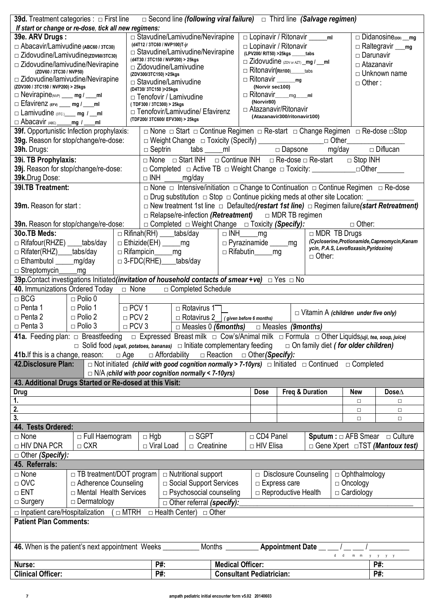|                                                                                                                                                                                     | <b>39d.</b> Treatment categories : $\Box$ First line                                                                                                     |              | $\Box$ Second line (following viral failure) $\Box$ Third line (Salvage regimen)            |                            |                                  |  |                                |                                                                            |                                     |                                                                                                                                                                                                                                                                                                             |                                                                                                              |
|-------------------------------------------------------------------------------------------------------------------------------------------------------------------------------------|----------------------------------------------------------------------------------------------------------------------------------------------------------|--------------|---------------------------------------------------------------------------------------------|----------------------------|----------------------------------|--|--------------------------------|----------------------------------------------------------------------------|-------------------------------------|-------------------------------------------------------------------------------------------------------------------------------------------------------------------------------------------------------------------------------------------------------------------------------------------------------------|--------------------------------------------------------------------------------------------------------------|
|                                                                                                                                                                                     | If start or change or re-dose, tick all new regimens:                                                                                                    |              |                                                                                             |                            |                                  |  |                                |                                                                            |                                     |                                                                                                                                                                                                                                                                                                             |                                                                                                              |
| 39e. ARV Drugs:                                                                                                                                                                     |                                                                                                                                                          |              | $\Box$ Stavudine/Lamivudine/Nevirapine                                                      |                            |                                  |  |                                |                                                                            | □ Lopinavir / Ritonavir ______ ml   |                                                                                                                                                                                                                                                                                                             | Didanosine(DDI) __ mg                                                                                        |
| $\Box$ Abacavir/Lamivudine (ABC60 / 3TC30)                                                                                                                                          |                                                                                                                                                          |              | (d4T12 / 3TC60 / NVP100)T-jr<br>$\Box$ Stavudine/Lamivudine/Nevirapine                      |                            |                                  |  |                                | □ Lopinavir / Ritonavir                                                    |                                     |                                                                                                                                                                                                                                                                                                             | $\Box$ Raltegravir $\_\_\$                                                                                   |
| □ Zidovudine/Lamivudine(zpv60/3TC30)                                                                                                                                                |                                                                                                                                                          |              | (d4T30 / 3TC150 / NVP200) > 25kgs                                                           |                            |                                  |  |                                | (LPV200/ RIT50) > 25kgs ______tabs<br>□ Zidovudine (ZDV or AZT) _mg / __ml |                                     |                                                                                                                                                                                                                                                                                                             | $\Box$ Darunavir                                                                                             |
| $\Box$ Zidovudine/lamivudine/Nevirapine<br>(ZDV60 / 3TC30 / NVP50)                                                                                                                  |                                                                                                                                                          |              | $\Box$ Zidovudine/Lamivudine                                                                |                            |                                  |  |                                | □ Ritonavir(Rit100) _____tabs                                              |                                     |                                                                                                                                                                                                                                                                                                             | □ Atazanavir                                                                                                 |
| $\Box$ Zidovudine/lamivudine/Nevirapine                                                                                                                                             |                                                                                                                                                          |              | (ZDV300/3TC150) >25kgs<br>$\Box$ Stavudine/Lamivudine                                       |                            |                                  |  |                                | □ Ritonavir ________mg                                                     |                                     |                                                                                                                                                                                                                                                                                                             | $\Box$ Unknown name                                                                                          |
| (ZDV300 / 3TC150 / NVP200) > 25kgs                                                                                                                                                  |                                                                                                                                                          |              | (D4T30/3TC150) > 25kgs                                                                      |                            |                                  |  | (Norvir sec100)                |                                                                            |                                     | $\Box$ Other:                                                                                                                                                                                                                                                                                               |                                                                                                              |
| $\Box$ Nevirapine <sub>(NVP)</sub> ___ mg / ___ ml                                                                                                                                  |                                                                                                                                                          |              | $\Box$ Tenofovir / Lamivudine                                                               |                            |                                  |  |                                | □ Ritonavir____mg____ml                                                    |                                     |                                                                                                                                                                                                                                                                                                             |                                                                                                              |
| $\Box$ Efavirenz (EFV) ____ mg / ___ ml                                                                                                                                             |                                                                                                                                                          |              | (TDF300 / 3TC300) > 25kgs                                                                   |                            |                                  |  | (Norvir80)                     |                                                                            |                                     |                                                                                                                                                                                                                                                                                                             |                                                                                                              |
| $\Box$ Lamivudine (3TC) mg / ml                                                                                                                                                     |                                                                                                                                                          |              | □ Tenofovir/Lamivudine/ Efavirenz                                                           |                            |                                  |  |                                | □ Atazanavir/Ritonavir<br>(Atazanavir300/ritonavir100)                     |                                     |                                                                                                                                                                                                                                                                                                             |                                                                                                              |
| □ Abacavir (ABC) _____ mg / ___ ml                                                                                                                                                  |                                                                                                                                                          |              | (TDF200/3TC600/EFV300) > 25kgs                                                              |                            |                                  |  |                                |                                                                            |                                     |                                                                                                                                                                                                                                                                                                             |                                                                                                              |
|                                                                                                                                                                                     | 39f. Opportunistic Infection prophylaxis:                                                                                                                |              |                                                                                             |                            |                                  |  |                                |                                                                            |                                     |                                                                                                                                                                                                                                                                                                             | □ None □ Start □ Continue Regimen □ Re-start □ Change Regimen □ Re-dose □ Stop                               |
|                                                                                                                                                                                     | 39g. Reason for stop/change/re-dose:                                                                                                                     |              |                                                                                             |                            |                                  |  |                                |                                                                            |                                     | $\begin{array}{lll} \hline \Box \text{ Weight Change } & \Box \text{ Toxicity (Specify)} \hspace*{2.5cm} \hspace*{2.5cm} \Box \text{ Dapsone} \hspace*{2.5cm} & \Box \text{ Other} \hspace*{2.5cm} \hspace*{2.5cm} \Box \text{ Euler} \hspace*{2.5cm} & \Box \text{ Diffuccan} \hspace*{2.5cm} \end{array}$ |                                                                                                              |
| 39h. Drugs:                                                                                                                                                                         |                                                                                                                                                          |              |                                                                                             |                            |                                  |  |                                |                                                                            |                                     |                                                                                                                                                                                                                                                                                                             |                                                                                                              |
| 39i. TB Prophylaxis:                                                                                                                                                                |                                                                                                                                                          |              |                                                                                             |                            |                                  |  |                                |                                                                            |                                     | $\Box$ None $\Box$ Start INH $\Box$ Continue INH $\Box$ Re-dose $\Box$ Re-start $\Box$ Stop INH                                                                                                                                                                                                             |                                                                                                              |
|                                                                                                                                                                                     | 39j. Reason for stop/change/re-dose:                                                                                                                     |              |                                                                                             |                            |                                  |  |                                |                                                                            |                                     |                                                                                                                                                                                                                                                                                                             | □ Completed □ Active TB □ Weight Change □ Toxicity: _______________ □ Other________                          |
| 39k.Drug Dose:                                                                                                                                                                      |                                                                                                                                                          |              | $\Box$ INH $\_\_\_$ mg/day                                                                  |                            |                                  |  |                                |                                                                            |                                     |                                                                                                                                                                                                                                                                                                             |                                                                                                              |
| 39I.TB Treatment:                                                                                                                                                                   |                                                                                                                                                          |              |                                                                                             |                            |                                  |  |                                |                                                                            |                                     |                                                                                                                                                                                                                                                                                                             | $\Box$ None $\Box$ Intensive/initiation $\Box$ Change to Continuation $\Box$ Continue Regimen $\Box$ Re-dose |
|                                                                                                                                                                                     |                                                                                                                                                          |              |                                                                                             |                            |                                  |  |                                |                                                                            |                                     |                                                                                                                                                                                                                                                                                                             | □ Drug substitution □ Stop □ Continue picking meds at other site Location: ___________                       |
| 39m. Reason for start:                                                                                                                                                              |                                                                                                                                                          |              |                                                                                             |                            |                                  |  |                                |                                                                            |                                     |                                                                                                                                                                                                                                                                                                             | $\Box$ New treatment 1st line $\Box$ Defaulted (restart 1st line) $\Box$ Regimen failure (start Retreatment) |
|                                                                                                                                                                                     |                                                                                                                                                          |              | $\Box$ Relapse/re-infection (Retreatment) $\Box$ MDR TB regimen                             |                            |                                  |  |                                |                                                                            |                                     |                                                                                                                                                                                                                                                                                                             |                                                                                                              |
|                                                                                                                                                                                     | <b>39n.</b> Reason for stop/change/re-dose:                                                                                                              |              | □ Completed □ Weight Change □ Toxicity (Specify):                                           |                            |                                  |  |                                |                                                                            |                                     | $\Box$ Other:                                                                                                                                                                                                                                                                                               |                                                                                                              |
| 30o.TB Meds:                                                                                                                                                                        |                                                                                                                                                          |              | □ Rifinah(RH) ____tabs/day                                                                  |                            |                                  |  | $\Box$ INH _______ mg          |                                                                            |                                     | $\Box$ MDR TB Drugs                                                                                                                                                                                                                                                                                         |                                                                                                              |
| □ Rifafour(RHZE) ____tabs/day                                                                                                                                                       |                                                                                                                                                          |              | □ Ethizide(EH) _____mg                                                                      |                            |                                  |  | $\Box$ Pyrazinamide _______ mg |                                                                            |                                     |                                                                                                                                                                                                                                                                                                             | (Cycloserine, Protionamide, Capreomycin, Kanam                                                               |
| □ Rifater(RHZ)____tabs/day                                                                                                                                                          |                                                                                                                                                          |              | □ Rifampicin <u>mg</u>                                                                      |                            |                                  |  | □ Rifabutin_____mg             |                                                                            |                                     | ycin, P.A.S, Levofloxasin, Pyridoxine)                                                                                                                                                                                                                                                                      |                                                                                                              |
| □ Ethambutol ______mg/day                                                                                                                                                           |                                                                                                                                                          |              | □ 3-FDC(RHE) ____tabs/day                                                                   |                            |                                  |  |                                |                                                                            | $\Box$ Other:                       |                                                                                                                                                                                                                                                                                                             |                                                                                                              |
| $\Box$ Streptomycin                                                                                                                                                                 | mg                                                                                                                                                       |              |                                                                                             |                            |                                  |  |                                |                                                                            |                                     |                                                                                                                                                                                                                                                                                                             |                                                                                                              |
|                                                                                                                                                                                     | 39p. Contact investigations Initiated (invitation of household contacts of smear +ve) $\Box$ Yes $\Box$ No                                               |              |                                                                                             |                            |                                  |  |                                |                                                                            |                                     |                                                                                                                                                                                                                                                                                                             |                                                                                                              |
| 40. Immunizations Ordered Today                                                                                                                                                     |                                                                                                                                                          | □ None       |                                                                                             | □ Completed Schedule       |                                  |  |                                |                                                                            |                                     |                                                                                                                                                                                                                                                                                                             |                                                                                                              |
| $\Box$ BCG                                                                                                                                                                          | $\Box$ Polio 0                                                                                                                                           |              |                                                                                             |                            |                                  |  |                                |                                                                            |                                     |                                                                                                                                                                                                                                                                                                             |                                                                                                              |
| $\Box$ Penta 1                                                                                                                                                                      | $\Box$ Polio 1                                                                                                                                           | $\Box$ PCV 1 |                                                                                             | $\Box$ Rotavirus 1 $\Box$  |                                  |  |                                |                                                                            |                                     |                                                                                                                                                                                                                                                                                                             |                                                                                                              |
| $\Box$ Penta 2                                                                                                                                                                      | $\Box$ Polio 2                                                                                                                                           | $\Box$ PCV 2 | $\Box$ Vitamin A (children under five only)<br>$\Box$ Rotavirus 2   (given before 6 months) |                            |                                  |  |                                |                                                                            |                                     |                                                                                                                                                                                                                                                                                                             |                                                                                                              |
| $\Box$ Polio 3<br>$\Box$ PCV 3<br>$\Box$ Penta 3<br>$\Box$ Measles 0 (6months) $\Box$ Measles (9months)                                                                             |                                                                                                                                                          |              |                                                                                             |                            |                                  |  |                                |                                                                            |                                     |                                                                                                                                                                                                                                                                                                             |                                                                                                              |
|                                                                                                                                                                                     | 41a. Feeding plan: $\Box$ Breastfeeding $\Box$ Expressed Breast milk $\Box$ Cow's/Animal milk $\Box$ Formula $\Box$ Other Liquids(uji, tea, soup, juice) |              |                                                                                             |                            |                                  |  |                                |                                                                            |                                     |                                                                                                                                                                                                                                                                                                             |                                                                                                              |
|                                                                                                                                                                                     | $\Box$ Solid food (ugali, potatoes, bananas) $\Box$ Initiate complementary feeding                                                                       |              |                                                                                             |                            |                                  |  |                                |                                                                            |                                     | $\Box$ On family diet (for older children)                                                                                                                                                                                                                                                                  |                                                                                                              |
| 41b. If this is a change, reason:                                                                                                                                                   | $\Box$ Age                                                                                                                                               |              | $\Box$ Affordability                                                                        |                            | □ Reaction                       |  | □ Other (Specify):             |                                                                            |                                     |                                                                                                                                                                                                                                                                                                             |                                                                                                              |
| 42. Disclosure Plan:                                                                                                                                                                |                                                                                                                                                          |              |                                                                                             |                            |                                  |  |                                |                                                                            |                                     |                                                                                                                                                                                                                                                                                                             |                                                                                                              |
| $\Box$ Not initiated (child with good cognition normally > 7-10yrs) $\Box$ Initiated $\Box$ Continued $\Box$ Completed<br>$\Box$ N/A (child with poor cognition normally < 7-10yrs) |                                                                                                                                                          |              |                                                                                             |                            |                                  |  |                                |                                                                            |                                     |                                                                                                                                                                                                                                                                                                             |                                                                                                              |
|                                                                                                                                                                                     | 43. Additional Drugs Started or Re-dosed at this Visit:                                                                                                  |              |                                                                                             |                            |                                  |  |                                |                                                                            |                                     |                                                                                                                                                                                                                                                                                                             |                                                                                                              |
| <b>Drug</b>                                                                                                                                                                         |                                                                                                                                                          |              |                                                                                             |                            |                                  |  | <b>Dose</b>                    | Freq & Duration                                                            |                                     | <b>New</b>                                                                                                                                                                                                                                                                                                  | Dose $\Delta$                                                                                                |
| 1.                                                                                                                                                                                  |                                                                                                                                                          |              |                                                                                             |                            |                                  |  |                                |                                                                            |                                     | $\Box$                                                                                                                                                                                                                                                                                                      | $\Box$                                                                                                       |
| 2.                                                                                                                                                                                  |                                                                                                                                                          |              |                                                                                             |                            |                                  |  |                                |                                                                            |                                     | $\Box$                                                                                                                                                                                                                                                                                                      | $\Box$                                                                                                       |
| 3.                                                                                                                                                                                  |                                                                                                                                                          |              |                                                                                             |                            |                                  |  |                                |                                                                            |                                     | $\Box$                                                                                                                                                                                                                                                                                                      | $\Box$                                                                                                       |
| 44. Tests Ordered:                                                                                                                                                                  |                                                                                                                                                          |              |                                                                                             |                            |                                  |  |                                |                                                                            |                                     |                                                                                                                                                                                                                                                                                                             |                                                                                                              |
| □ None                                                                                                                                                                              | $\Box$ Full Haemogram                                                                                                                                    | $\Box$ Hgb   |                                                                                             | $\Box$ SGPT                |                                  |  | $\Box$ CD4 Panel               |                                                                            |                                     |                                                                                                                                                                                                                                                                                                             | <b>Sputum:</b> $\Box$ AFB Smear $\Box$ Culture                                                               |
| $\Box$ HIV DNA PCR                                                                                                                                                                  | $\Box$ CXR                                                                                                                                               |              | □ Viral Load                                                                                | $\Box$ Creatinine          |                                  |  | □ HIV Elisa                    |                                                                            |                                     |                                                                                                                                                                                                                                                                                                             | $\Box$ Gene Xpert $\Box$ TST (Mantoux test)                                                                  |
| □ Other (Specify):                                                                                                                                                                  |                                                                                                                                                          |              |                                                                                             |                            |                                  |  |                                |                                                                            |                                     |                                                                                                                                                                                                                                                                                                             |                                                                                                              |
| 45. Referrals:                                                                                                                                                                      |                                                                                                                                                          |              |                                                                                             |                            |                                  |  |                                |                                                                            |                                     |                                                                                                                                                                                                                                                                                                             |                                                                                                              |
| $\Box$ None                                                                                                                                                                         | $\Box$ TB treatment/DOT program                                                                                                                          |              |                                                                                             | $\Box$ Nutritional support |                                  |  |                                | $\Box$ Disclosure Counseling                                               |                                     | $\Box$ Ophthalmology                                                                                                                                                                                                                                                                                        |                                                                                                              |
| $\Box$ OVC                                                                                                                                                                          | □ Adherence Counseling                                                                                                                                   |              |                                                                                             |                            | □ Social Support Services        |  |                                | $\Box$ Express care                                                        |                                     | $\Box$ Oncology                                                                                                                                                                                                                                                                                             |                                                                                                              |
| $\Box$ ENT                                                                                                                                                                          | $\Box$ Mental Health Services                                                                                                                            |              |                                                                                             |                            | □ Psychosocial counseling        |  |                                | □ Reproductive Health                                                      |                                     | $\Box$ Cardiology                                                                                                                                                                                                                                                                                           |                                                                                                              |
| $\Box$ Surgery                                                                                                                                                                      | $\Box$ Dermatology                                                                                                                                       |              |                                                                                             |                            | $\Box$ Other referral (specify): |  |                                |                                                                            |                                     |                                                                                                                                                                                                                                                                                                             |                                                                                                              |
|                                                                                                                                                                                     | $\Box$ Inpatient care/Hospitalization ( $\Box$ MTRH                                                                                                      |              | $\Box$ Health Center) $\Box$ Other                                                          |                            |                                  |  |                                |                                                                            |                                     |                                                                                                                                                                                                                                                                                                             |                                                                                                              |
| <b>Patient Plan Comments:</b>                                                                                                                                                       |                                                                                                                                                          |              |                                                                                             |                            |                                  |  |                                |                                                                            |                                     |                                                                                                                                                                                                                                                                                                             |                                                                                                              |
|                                                                                                                                                                                     |                                                                                                                                                          |              |                                                                                             |                            |                                  |  |                                |                                                                            |                                     |                                                                                                                                                                                                                                                                                                             |                                                                                                              |
|                                                                                                                                                                                     | 46. When is the patient's next appointment Weeks __________                                                                                              |              |                                                                                             |                            |                                  |  |                                |                                                                            | Months <b>Appointment Date</b> 1997 | $d$ $d$<br>${\sf m} - {\sf m}$                                                                                                                                                                                                                                                                              | y y y y                                                                                                      |
| Nurse:                                                                                                                                                                              |                                                                                                                                                          |              | P#:                                                                                         |                            | <b>Medical Officer:</b>          |  |                                |                                                                            |                                     |                                                                                                                                                                                                                                                                                                             | P#:                                                                                                          |
| <b>Clinical Officer:</b>                                                                                                                                                            |                                                                                                                                                          |              | P#:                                                                                         |                            | <b>Consultant Pediatrician:</b>  |  |                                |                                                                            |                                     |                                                                                                                                                                                                                                                                                                             | P#:                                                                                                          |
|                                                                                                                                                                                     |                                                                                                                                                          |              |                                                                                             |                            |                                  |  |                                |                                                                            |                                     |                                                                                                                                                                                                                                                                                                             |                                                                                                              |